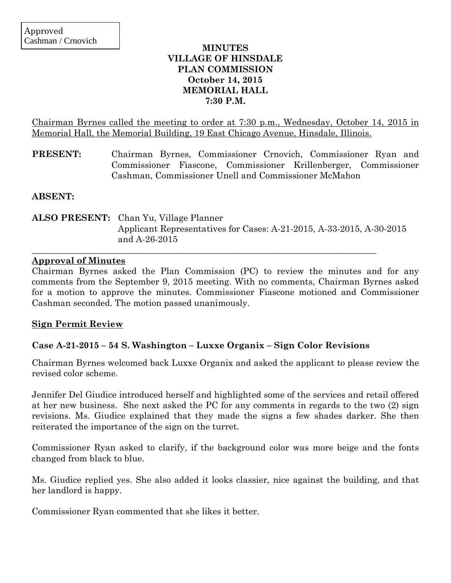## **MINUTES VILLAGE OF HINSDALE PLAN COMMISSION October 14, 2015 MEMORIAL HALL 7:30 P.M.**

Chairman Byrnes called the meeting to order at 7:30 p.m., Wednesday, October 14, 2015 in Memorial Hall, the Memorial Building, 19 East Chicago Avenue, Hinsdale, Illinois.

**PRESENT:** Chairman Byrnes, Commissioner Crnovich, Commissioner Ryan and Commissioner Fiascone, Commissioner Krillenberger, Commissioner Cashman, Commissioner Unell and Commissioner McMahon

**ABSENT:**

**ALSO PRESENT:** Chan Yu, Village Planner Applicant Representatives for Cases: A-21-2015, A-33-2015, A-30-2015 and A-26-2015

 $\_$  , and the set of the set of the set of the set of the set of the set of the set of the set of the set of the set of the set of the set of the set of the set of the set of the set of the set of the set of the set of th

### **Approval of Minutes**

Chairman Byrnes asked the Plan Commission (PC) to review the minutes and for any comments from the September 9, 2015 meeting. With no comments, Chairman Byrnes asked for a motion to approve the minutes. Commissioner Fiascone motioned and Commissioner Cashman seconded. The motion passed unanimously.

### **Sign Permit Review**

# **Case A-21-2015 – 54 S. Washington – Luxxe Organix – Sign Color Revisions**

Chairman Byrnes welcomed back Luxxe Organix and asked the applicant to please review the revised color scheme.

Jennifer Del Giudice introduced herself and highlighted some of the services and retail offered at her new business. She next asked the PC for any comments in regards to the two (2) sign revisions. Ms. Giudice explained that they made the signs a few shades darker. She then reiterated the importance of the sign on the turret.

Commissioner Ryan asked to clarify, if the background color was more beige and the fonts changed from black to blue.

Ms. Giudice replied yes. She also added it looks classier, nice against the building, and that her landlord is happy.

Commissioner Ryan commented that she likes it better.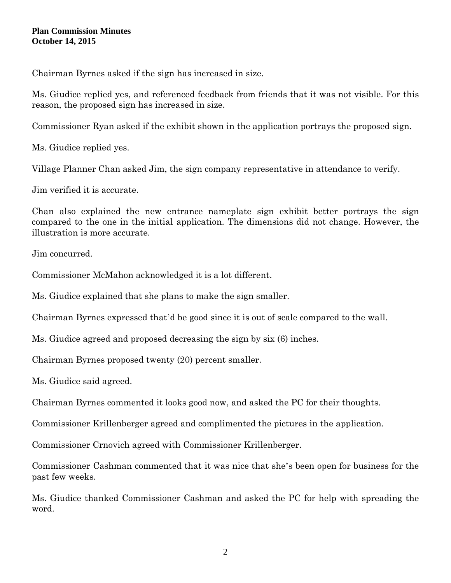Chairman Byrnes asked if the sign has increased in size.

Ms. Giudice replied yes, and referenced feedback from friends that it was not visible. For this reason, the proposed sign has increased in size.

Commissioner Ryan asked if the exhibit shown in the application portrays the proposed sign.

Ms. Giudice replied yes.

Village Planner Chan asked Jim, the sign company representative in attendance to verify.

Jim verified it is accurate.

Chan also explained the new entrance nameplate sign exhibit better portrays the sign compared to the one in the initial application. The dimensions did not change. However, the illustration is more accurate.

Jim concurred.

Commissioner McMahon acknowledged it is a lot different.

Ms. Giudice explained that she plans to make the sign smaller.

Chairman Byrnes expressed that'd be good since it is out of scale compared to the wall.

Ms. Giudice agreed and proposed decreasing the sign by six (6) inches.

Chairman Byrnes proposed twenty (20) percent smaller.

Ms. Giudice said agreed.

Chairman Byrnes commented it looks good now, and asked the PC for their thoughts.

Commissioner Krillenberger agreed and complimented the pictures in the application.

Commissioner Crnovich agreed with Commissioner Krillenberger.

Commissioner Cashman commented that it was nice that she's been open for business for the past few weeks.

Ms. Giudice thanked Commissioner Cashman and asked the PC for help with spreading the word.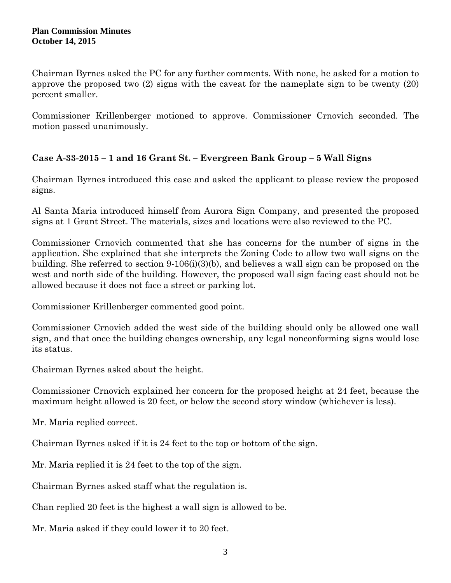Chairman Byrnes asked the PC for any further comments. With none, he asked for a motion to approve the proposed two (2) signs with the caveat for the nameplate sign to be twenty (20) percent smaller.

Commissioner Krillenberger motioned to approve. Commissioner Crnovich seconded. The motion passed unanimously.

# **Case A-33-2015 – 1 and 16 Grant St. – Evergreen Bank Group – 5 Wall Signs**

Chairman Byrnes introduced this case and asked the applicant to please review the proposed signs.

Al Santa Maria introduced himself from Aurora Sign Company, and presented the proposed signs at 1 Grant Street. The materials, sizes and locations were also reviewed to the PC.

Commissioner Crnovich commented that she has concerns for the number of signs in the application. She explained that she interprets the Zoning Code to allow two wall signs on the building. She referred to section 9-106(i)(3)(b), and believes a wall sign can be proposed on the west and north side of the building. However, the proposed wall sign facing east should not be allowed because it does not face a street or parking lot.

Commissioner Krillenberger commented good point.

Commissioner Crnovich added the west side of the building should only be allowed one wall sign, and that once the building changes ownership, any legal nonconforming signs would lose its status.

Chairman Byrnes asked about the height.

Commissioner Crnovich explained her concern for the proposed height at 24 feet, because the maximum height allowed is 20 feet, or below the second story window (whichever is less).

Mr. Maria replied correct.

Chairman Byrnes asked if it is 24 feet to the top or bottom of the sign.

Mr. Maria replied it is 24 feet to the top of the sign.

Chairman Byrnes asked staff what the regulation is.

Chan replied 20 feet is the highest a wall sign is allowed to be.

Mr. Maria asked if they could lower it to 20 feet.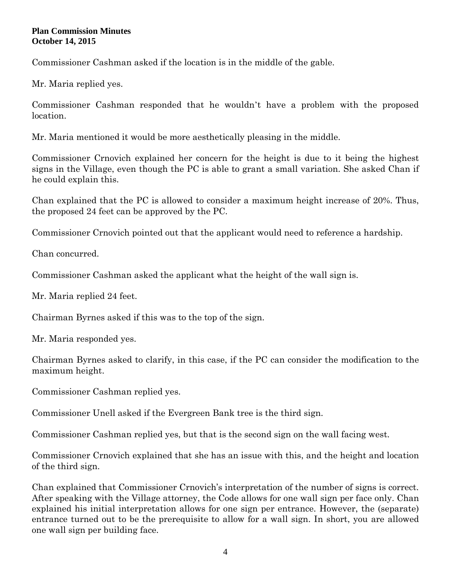Commissioner Cashman asked if the location is in the middle of the gable.

Mr. Maria replied yes.

Commissioner Cashman responded that he wouldn't have a problem with the proposed location.

Mr. Maria mentioned it would be more aesthetically pleasing in the middle.

Commissioner Crnovich explained her concern for the height is due to it being the highest signs in the Village, even though the PC is able to grant a small variation. She asked Chan if he could explain this.

Chan explained that the PC is allowed to consider a maximum height increase of 20%. Thus, the proposed 24 feet can be approved by the PC.

Commissioner Crnovich pointed out that the applicant would need to reference a hardship.

Chan concurred.

Commissioner Cashman asked the applicant what the height of the wall sign is.

Mr. Maria replied 24 feet.

Chairman Byrnes asked if this was to the top of the sign.

Mr. Maria responded yes.

Chairman Byrnes asked to clarify, in this case, if the PC can consider the modification to the maximum height.

Commissioner Cashman replied yes.

Commissioner Unell asked if the Evergreen Bank tree is the third sign.

Commissioner Cashman replied yes, but that is the second sign on the wall facing west.

Commissioner Crnovich explained that she has an issue with this, and the height and location of the third sign.

Chan explained that Commissioner Crnovich's interpretation of the number of signs is correct. After speaking with the Village attorney, the Code allows for one wall sign per face only. Chan explained his initial interpretation allows for one sign per entrance. However, the (separate) entrance turned out to be the prerequisite to allow for a wall sign. In short, you are allowed one wall sign per building face.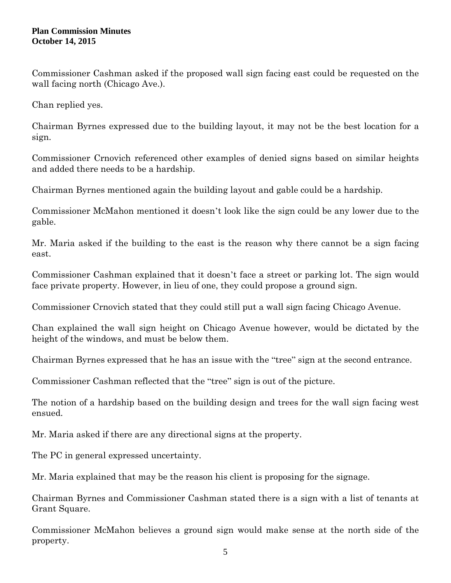Commissioner Cashman asked if the proposed wall sign facing east could be requested on the wall facing north (Chicago Ave.).

Chan replied yes.

Chairman Byrnes expressed due to the building layout, it may not be the best location for a sign.

Commissioner Crnovich referenced other examples of denied signs based on similar heights and added there needs to be a hardship.

Chairman Byrnes mentioned again the building layout and gable could be a hardship.

Commissioner McMahon mentioned it doesn't look like the sign could be any lower due to the gable.

Mr. Maria asked if the building to the east is the reason why there cannot be a sign facing east.

Commissioner Cashman explained that it doesn't face a street or parking lot. The sign would face private property. However, in lieu of one, they could propose a ground sign.

Commissioner Crnovich stated that they could still put a wall sign facing Chicago Avenue.

Chan explained the wall sign height on Chicago Avenue however, would be dictated by the height of the windows, and must be below them.

Chairman Byrnes expressed that he has an issue with the "tree" sign at the second entrance.

Commissioner Cashman reflected that the "tree" sign is out of the picture.

The notion of a hardship based on the building design and trees for the wall sign facing west ensued.

Mr. Maria asked if there are any directional signs at the property.

The PC in general expressed uncertainty.

Mr. Maria explained that may be the reason his client is proposing for the signage.

Chairman Byrnes and Commissioner Cashman stated there is a sign with a list of tenants at Grant Square.

Commissioner McMahon believes a ground sign would make sense at the north side of the property.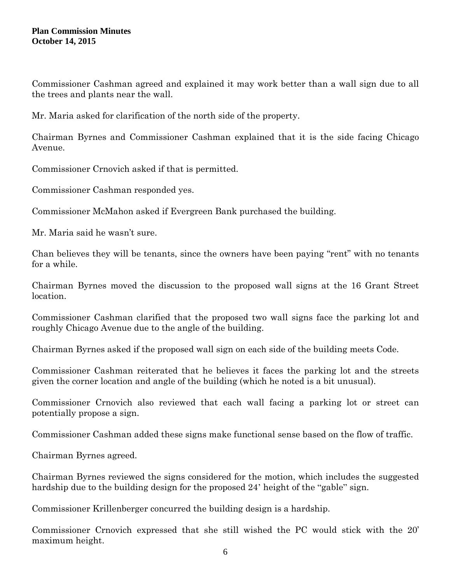Commissioner Cashman agreed and explained it may work better than a wall sign due to all the trees and plants near the wall.

Mr. Maria asked for clarification of the north side of the property.

Chairman Byrnes and Commissioner Cashman explained that it is the side facing Chicago Avenue.

Commissioner Crnovich asked if that is permitted.

Commissioner Cashman responded yes.

Commissioner McMahon asked if Evergreen Bank purchased the building.

Mr. Maria said he wasn't sure.

Chan believes they will be tenants, since the owners have been paying "rent" with no tenants for a while.

Chairman Byrnes moved the discussion to the proposed wall signs at the 16 Grant Street location.

Commissioner Cashman clarified that the proposed two wall signs face the parking lot and roughly Chicago Avenue due to the angle of the building.

Chairman Byrnes asked if the proposed wall sign on each side of the building meets Code.

Commissioner Cashman reiterated that he believes it faces the parking lot and the streets given the corner location and angle of the building (which he noted is a bit unusual).

Commissioner Crnovich also reviewed that each wall facing a parking lot or street can potentially propose a sign.

Commissioner Cashman added these signs make functional sense based on the flow of traffic.

Chairman Byrnes agreed.

Chairman Byrnes reviewed the signs considered for the motion, which includes the suggested hardship due to the building design for the proposed 24' height of the "gable" sign.

Commissioner Krillenberger concurred the building design is a hardship.

Commissioner Crnovich expressed that she still wished the PC would stick with the 20' maximum height.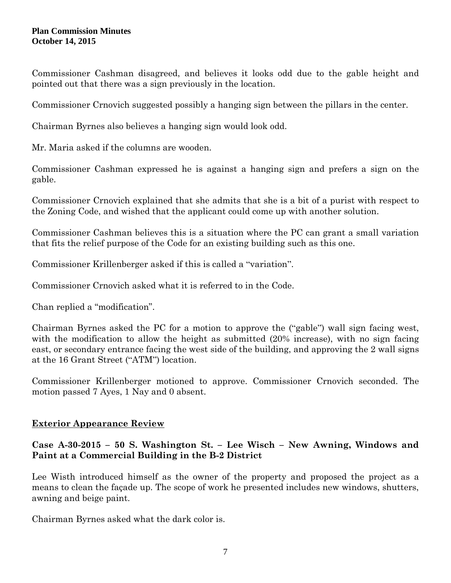Commissioner Cashman disagreed, and believes it looks odd due to the gable height and pointed out that there was a sign previously in the location.

Commissioner Crnovich suggested possibly a hanging sign between the pillars in the center.

Chairman Byrnes also believes a hanging sign would look odd.

Mr. Maria asked if the columns are wooden.

Commissioner Cashman expressed he is against a hanging sign and prefers a sign on the gable.

Commissioner Crnovich explained that she admits that she is a bit of a purist with respect to the Zoning Code, and wished that the applicant could come up with another solution.

Commissioner Cashman believes this is a situation where the PC can grant a small variation that fits the relief purpose of the Code for an existing building such as this one.

Commissioner Krillenberger asked if this is called a "variation".

Commissioner Crnovich asked what it is referred to in the Code.

Chan replied a "modification".

Chairman Byrnes asked the PC for a motion to approve the ("gable") wall sign facing west, with the modification to allow the height as submitted (20% increase), with no sign facing east, or secondary entrance facing the west side of the building, and approving the 2 wall signs at the 16 Grant Street ("ATM") location.

Commissioner Krillenberger motioned to approve. Commissioner Crnovich seconded. The motion passed 7 Ayes, 1 Nay and 0 absent.

# **Exterior Appearance Review**

# **Case A-30-2015 – 50 S. Washington St. – Lee Wisch – New Awning, Windows and Paint at a Commercial Building in the B-2 District**

Lee Wisth introduced himself as the owner of the property and proposed the project as a means to clean the façade up. The scope of work he presented includes new windows, shutters, awning and beige paint.

Chairman Byrnes asked what the dark color is.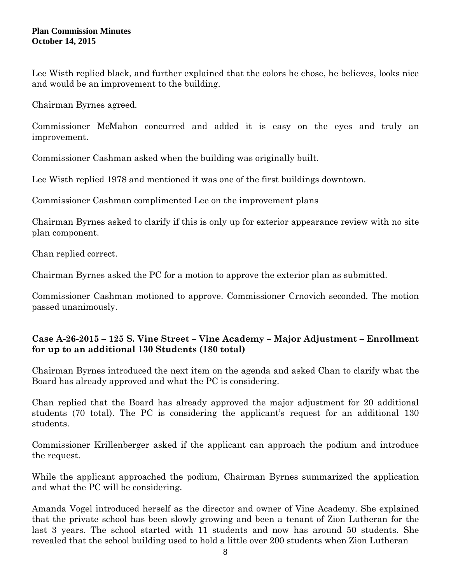Lee Wisth replied black, and further explained that the colors he chose, he believes, looks nice and would be an improvement to the building.

Chairman Byrnes agreed.

Commissioner McMahon concurred and added it is easy on the eyes and truly an improvement.

Commissioner Cashman asked when the building was originally built.

Lee Wisth replied 1978 and mentioned it was one of the first buildings downtown.

Commissioner Cashman complimented Lee on the improvement plans

Chairman Byrnes asked to clarify if this is only up for exterior appearance review with no site plan component.

Chan replied correct.

Chairman Byrnes asked the PC for a motion to approve the exterior plan as submitted.

Commissioner Cashman motioned to approve. Commissioner Crnovich seconded. The motion passed unanimously.

# **Case A-26-2015 – 125 S. Vine Street – Vine Academy – Major Adjustment – Enrollment for up to an additional 130 Students (180 total)**

Chairman Byrnes introduced the next item on the agenda and asked Chan to clarify what the Board has already approved and what the PC is considering.

Chan replied that the Board has already approved the major adjustment for 20 additional students (70 total). The PC is considering the applicant's request for an additional 130 students.

Commissioner Krillenberger asked if the applicant can approach the podium and introduce the request.

While the applicant approached the podium, Chairman Byrnes summarized the application and what the PC will be considering.

Amanda Vogel introduced herself as the director and owner of Vine Academy. She explained that the private school has been slowly growing and been a tenant of Zion Lutheran for the last 3 years. The school started with 11 students and now has around 50 students. She revealed that the school building used to hold a little over 200 students when Zion Lutheran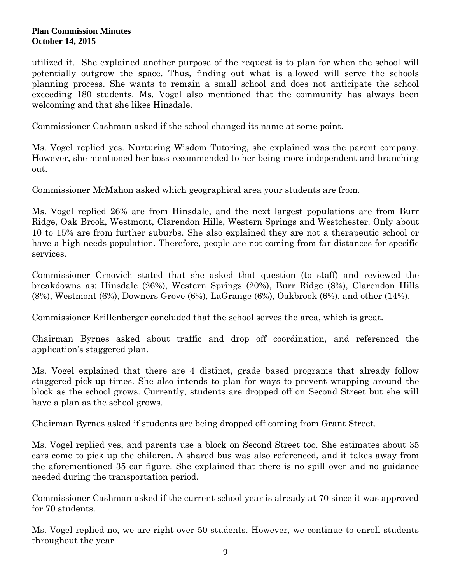utilized it. She explained another purpose of the request is to plan for when the school will potentially outgrow the space. Thus, finding out what is allowed will serve the schools planning process. She wants to remain a small school and does not anticipate the school exceeding 180 students. Ms. Vogel also mentioned that the community has always been welcoming and that she likes Hinsdale.

Commissioner Cashman asked if the school changed its name at some point.

Ms. Vogel replied yes. Nurturing Wisdom Tutoring, she explained was the parent company. However, she mentioned her boss recommended to her being more independent and branching out.

Commissioner McMahon asked which geographical area your students are from.

Ms. Vogel replied 26% are from Hinsdale, and the next largest populations are from Burr Ridge, Oak Brook, Westmont, Clarendon Hills, Western Springs and Westchester. Only about 10 to 15% are from further suburbs. She also explained they are not a therapeutic school or have a high needs population. Therefore, people are not coming from far distances for specific services.

Commissioner Crnovich stated that she asked that question (to staff) and reviewed the breakdowns as: Hinsdale (26%), Western Springs (20%), Burr Ridge (8%), Clarendon Hills (8%), Westmont (6%), Downers Grove (6%), LaGrange (6%), Oakbrook (6%), and other (14%).

Commissioner Krillenberger concluded that the school serves the area, which is great.

Chairman Byrnes asked about traffic and drop off coordination, and referenced the application's staggered plan.

Ms. Vogel explained that there are 4 distinct, grade based programs that already follow staggered pick-up times. She also intends to plan for ways to prevent wrapping around the block as the school grows. Currently, students are dropped off on Second Street but she will have a plan as the school grows.

Chairman Byrnes asked if students are being dropped off coming from Grant Street.

Ms. Vogel replied yes, and parents use a block on Second Street too. She estimates about 35 cars come to pick up the children. A shared bus was also referenced, and it takes away from the aforementioned 35 car figure. She explained that there is no spill over and no guidance needed during the transportation period.

Commissioner Cashman asked if the current school year is already at 70 since it was approved for 70 students.

Ms. Vogel replied no, we are right over 50 students. However, we continue to enroll students throughout the year.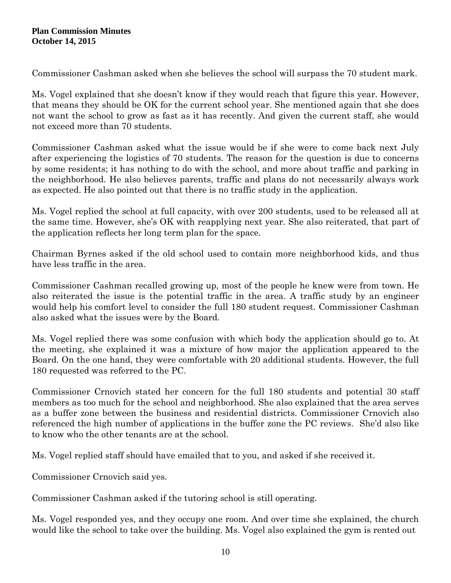Commissioner Cashman asked when she believes the school will surpass the 70 student mark.

Ms. Vogel explained that she doesn't know if they would reach that figure this year. However, that means they should be OK for the current school year. She mentioned again that she does not want the school to grow as fast as it has recently. And given the current staff, she would not exceed more than 70 students.

Commissioner Cashman asked what the issue would be if she were to come back next July after experiencing the logistics of 70 students. The reason for the question is due to concerns by some residents; it has nothing to do with the school, and more about traffic and parking in the neighborhood. He also believes parents, traffic and plans do not necessarily always work as expected. He also pointed out that there is no traffic study in the application.

Ms. Vogel replied the school at full capacity, with over 200 students, used to be released all at the same time. However, she's OK with reapplying next year. She also reiterated, that part of the application reflects her long term plan for the space.

Chairman Byrnes asked if the old school used to contain more neighborhood kids, and thus have less traffic in the area.

Commissioner Cashman recalled growing up, most of the people he knew were from town. He also reiterated the issue is the potential traffic in the area. A traffic study by an engineer would help his comfort level to consider the full 180 student request. Commissioner Cashman also asked what the issues were by the Board.

Ms. Vogel replied there was some confusion with which body the application should go to. At the meeting, she explained it was a mixture of how major the application appeared to the Board. On the one hand, they were comfortable with 20 additional students. However, the full 180 requested was referred to the PC.

Commissioner Crnovich stated her concern for the full 180 students and potential 30 staff members as too much for the school and neighborhood. She also explained that the area serves as a buffer zone between the business and residential districts. Commissioner Crnovich also referenced the high number of applications in the buffer zone the PC reviews. She'd also like to know who the other tenants are at the school.

Ms. Vogel replied staff should have emailed that to you, and asked if she received it.

Commissioner Crnovich said yes.

Commissioner Cashman asked if the tutoring school is still operating.

Ms. Vogel responded yes, and they occupy one room. And over time she explained, the church would like the school to take over the building. Ms. Vogel also explained the gym is rented out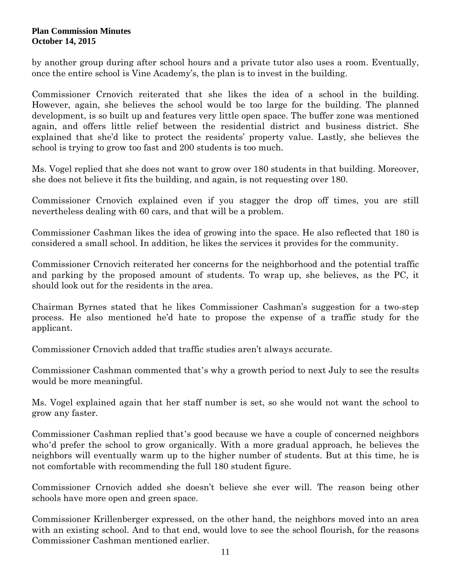by another group during after school hours and a private tutor also uses a room. Eventually, once the entire school is Vine Academy's, the plan is to invest in the building.

Commissioner Crnovich reiterated that she likes the idea of a school in the building. However, again, she believes the school would be too large for the building. The planned development, is so built up and features very little open space. The buffer zone was mentioned again, and offers little relief between the residential district and business district. She explained that she'd like to protect the residents' property value. Lastly, she believes the school is trying to grow too fast and 200 students is too much.

Ms. Vogel replied that she does not want to grow over 180 students in that building. Moreover, she does not believe it fits the building, and again, is not requesting over 180.

Commissioner Crnovich explained even if you stagger the drop off times, you are still nevertheless dealing with 60 cars, and that will be a problem.

Commissioner Cashman likes the idea of growing into the space. He also reflected that 180 is considered a small school. In addition, he likes the services it provides for the community.

Commissioner Crnovich reiterated her concerns for the neighborhood and the potential traffic and parking by the proposed amount of students. To wrap up, she believes, as the PC, it should look out for the residents in the area.

Chairman Byrnes stated that he likes Commissioner Cashman's suggestion for a two-step process. He also mentioned he'd hate to propose the expense of a traffic study for the applicant.

Commissioner Crnovich added that traffic studies aren't always accurate.

Commissioner Cashman commented that's why a growth period to next July to see the results would be more meaningful.

Ms. Vogel explained again that her staff number is set, so she would not want the school to grow any faster.

Commissioner Cashman replied that's good because we have a couple of concerned neighbors who'd prefer the school to grow organically. With a more gradual approach, he believes the neighbors will eventually warm up to the higher number of students. But at this time, he is not comfortable with recommending the full 180 student figure.

Commissioner Crnovich added she doesn't believe she ever will. The reason being other schools have more open and green space.

Commissioner Krillenberger expressed, on the other hand, the neighbors moved into an area with an existing school. And to that end, would love to see the school flourish, for the reasons Commissioner Cashman mentioned earlier.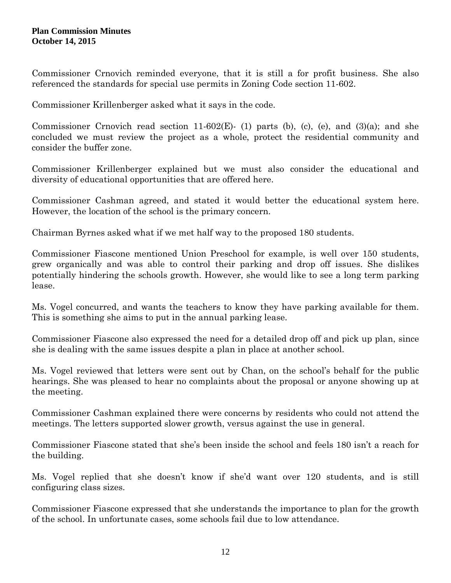Commissioner Crnovich reminded everyone, that it is still a for profit business. She also referenced the standards for special use permits in Zoning Code section 11-602.

Commissioner Krillenberger asked what it says in the code.

Commissioner Crnovich read section 11-602(E)- (1) parts (b), (c), (e), and (3)(a); and she concluded we must review the project as a whole, protect the residential community and consider the buffer zone.

Commissioner Krillenberger explained but we must also consider the educational and diversity of educational opportunities that are offered here.

Commissioner Cashman agreed, and stated it would better the educational system here. However, the location of the school is the primary concern.

Chairman Byrnes asked what if we met half way to the proposed 180 students.

Commissioner Fiascone mentioned Union Preschool for example, is well over 150 students, grew organically and was able to control their parking and drop off issues. She dislikes potentially hindering the schools growth. However, she would like to see a long term parking lease.

Ms. Vogel concurred, and wants the teachers to know they have parking available for them. This is something she aims to put in the annual parking lease.

Commissioner Fiascone also expressed the need for a detailed drop off and pick up plan, since she is dealing with the same issues despite a plan in place at another school.

Ms. Vogel reviewed that letters were sent out by Chan, on the school's behalf for the public hearings. She was pleased to hear no complaints about the proposal or anyone showing up at the meeting.

Commissioner Cashman explained there were concerns by residents who could not attend the meetings. The letters supported slower growth, versus against the use in general.

Commissioner Fiascone stated that she's been inside the school and feels 180 isn't a reach for the building.

Ms. Vogel replied that she doesn't know if she'd want over 120 students, and is still configuring class sizes.

Commissioner Fiascone expressed that she understands the importance to plan for the growth of the school. In unfortunate cases, some schools fail due to low attendance.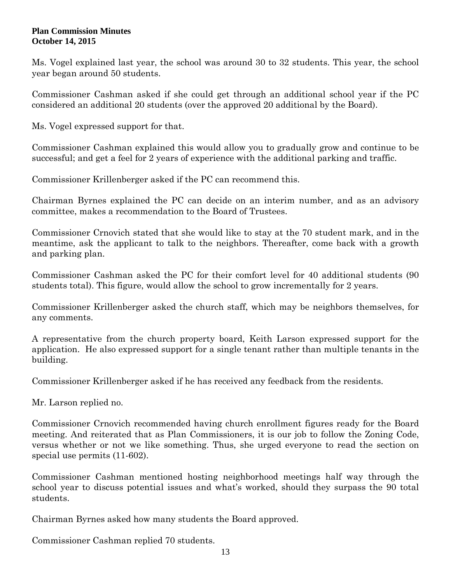Ms. Vogel explained last year, the school was around 30 to 32 students. This year, the school year began around 50 students.

Commissioner Cashman asked if she could get through an additional school year if the PC considered an additional 20 students (over the approved 20 additional by the Board).

Ms. Vogel expressed support for that.

Commissioner Cashman explained this would allow you to gradually grow and continue to be successful; and get a feel for 2 years of experience with the additional parking and traffic.

Commissioner Krillenberger asked if the PC can recommend this.

Chairman Byrnes explained the PC can decide on an interim number, and as an advisory committee, makes a recommendation to the Board of Trustees.

Commissioner Crnovich stated that she would like to stay at the 70 student mark, and in the meantime, ask the applicant to talk to the neighbors. Thereafter, come back with a growth and parking plan.

Commissioner Cashman asked the PC for their comfort level for 40 additional students (90 students total). This figure, would allow the school to grow incrementally for 2 years.

Commissioner Krillenberger asked the church staff, which may be neighbors themselves, for any comments.

A representative from the church property board, Keith Larson expressed support for the application. He also expressed support for a single tenant rather than multiple tenants in the building.

Commissioner Krillenberger asked if he has received any feedback from the residents.

Mr. Larson replied no.

Commissioner Crnovich recommended having church enrollment figures ready for the Board meeting. And reiterated that as Plan Commissioners, it is our job to follow the Zoning Code, versus whether or not we like something. Thus, she urged everyone to read the section on special use permits (11-602).

Commissioner Cashman mentioned hosting neighborhood meetings half way through the school year to discuss potential issues and what's worked, should they surpass the 90 total students.

Chairman Byrnes asked how many students the Board approved.

Commissioner Cashman replied 70 students.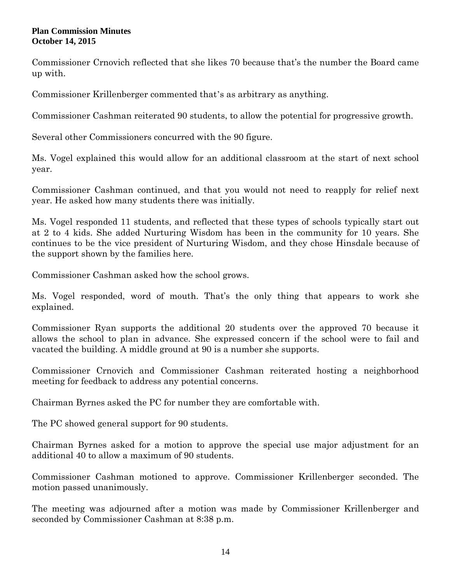Commissioner Crnovich reflected that she likes 70 because that's the number the Board came up with.

Commissioner Krillenberger commented that's as arbitrary as anything.

Commissioner Cashman reiterated 90 students, to allow the potential for progressive growth.

Several other Commissioners concurred with the 90 figure.

Ms. Vogel explained this would allow for an additional classroom at the start of next school year.

Commissioner Cashman continued, and that you would not need to reapply for relief next year. He asked how many students there was initially.

Ms. Vogel responded 11 students, and reflected that these types of schools typically start out at 2 to 4 kids. She added Nurturing Wisdom has been in the community for 10 years. She continues to be the vice president of Nurturing Wisdom, and they chose Hinsdale because of the support shown by the families here.

Commissioner Cashman asked how the school grows.

Ms. Vogel responded, word of mouth. That's the only thing that appears to work she explained.

Commissioner Ryan supports the additional 20 students over the approved 70 because it allows the school to plan in advance. She expressed concern if the school were to fail and vacated the building. A middle ground at 90 is a number she supports.

Commissioner Crnovich and Commissioner Cashman reiterated hosting a neighborhood meeting for feedback to address any potential concerns.

Chairman Byrnes asked the PC for number they are comfortable with.

The PC showed general support for 90 students.

Chairman Byrnes asked for a motion to approve the special use major adjustment for an additional 40 to allow a maximum of 90 students.

Commissioner Cashman motioned to approve. Commissioner Krillenberger seconded. The motion passed unanimously.

The meeting was adjourned after a motion was made by Commissioner Krillenberger and seconded by Commissioner Cashman at 8:38 p.m.